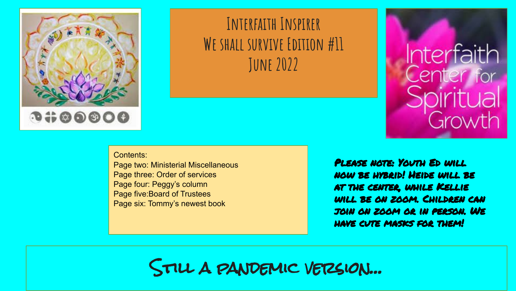

### **Interfaith Inspirer We shall survive Edition #11 June 2022**

Contents:

Page two: Ministerial Miscellaneous Page three: Order of services Page four: Peggy's column Page five:Board of Trustees Page six: Tommy's newest book

Please note: Youth Ed will now be hybrid! Heide will be at the center, while Kellie will be on zoom. Children can join on zoom or in person. We have cute masks for them!

**Interfaith** 

Center for

Growth

Still a pandemic version…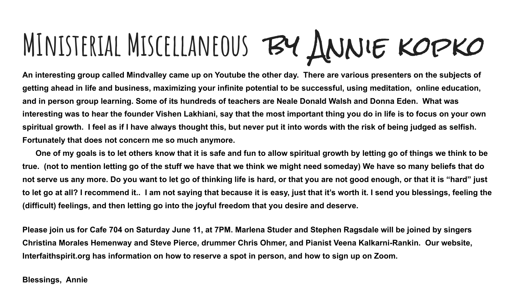# **MInisterial Miscellaneous** by Annie kopko

**An interesting group called Mindvalley came up on Youtube the other day. There are various presenters on the subjects of getting ahead in life and business, maximizing your infinite potential to be successful, using meditation, online education, and in person group learning. Some of its hundreds of teachers are Neale Donald Walsh and Donna Eden. What was interesting was to hear the founder Vishen Lakhiani, say that the most important thing you do in life is to focus on your own spiritual growth. I feel as if I have always thought this, but never put it into words with the risk of being judged as selfish. Fortunately that does not concern me so much anymore.**

 **One of my goals is to let others know that it is safe and fun to allow spiritual growth by letting go of things we think to be true. (not to mention letting go of the stuff we have that we think we might need someday) We have so many beliefs that do not serve us any more. Do you want to let go of thinking life is hard, or that you are not good enough, or that it is "hard" just to let go at all? I recommend it.. I am not saying that because it is easy, just that it's worth it. I send you blessings, feeling the (difficult) feelings, and then letting go into the joyful freedom that you desire and deserve.** 

**Please join us for Cafe 704 on Saturday June 11, at 7PM. Marlena Studer and Stephen Ragsdale will be joined by singers Christina Morales Hemenway and Steve Pierce, drummer Chris Ohmer, and Pianist Veena Kalkarni-Rankin. Our website, Interfaithspirit.org has information on how to reserve a spot in person, and how to sign up on Zoom.**

#### **Blessings, Annie**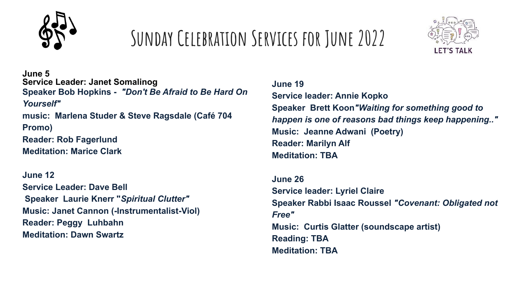

# **Sunday Celebration Services for June 2022**



**June 5 Service Leader: Janet Somalinog Speaker Bob Hopkins -** *"Don't Be Afraid to Be Hard On Yourself"* **music: Marlena Studer & Steve Ragsdale (Café 704 Promo) Reader: Rob Fagerlund Meditation: Marice Clark**

**June 12 Service Leader: Dave Bell Speaker Laurie Knerr "***Spiritual Clutter"* **Music: Janet Cannon (-Instrumentalist-Viol) Reader: Peggy Luhbahn Meditation: Dawn Swartz**

**June 19 Service leader: Annie Kopko Speaker Brett Koon***"Waiting for something good to happen is one of reasons bad things keep happening.."* **Music: Jeanne Adwani (Poetry) Reader: Marilyn Alf Meditation: TBA**

**June 26 Service leader: Lyriel Claire Speaker Rabbi Isaac Roussel** *"Covenant: Obligated not Free"* **Music: Curtis Glatter (soundscape artist) Reading: TBA Meditation: TBA**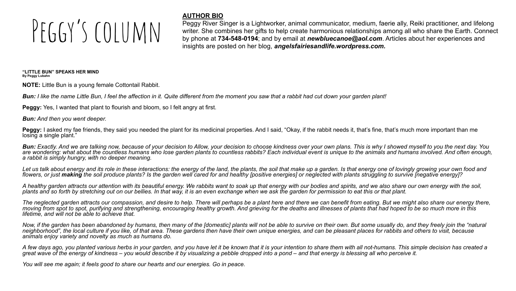# $PFGAY'S COUUMN$

#### **AUTHOR BIO**

Peggy River Singer is a Lightworker, animal communicator, medium, faerie ally, Reiki practitioner, and lifelong writer. She combines her gifts to help create harmonious relationships among all who share the Earth. Connect by phone at **734-548-0194**; and by email at *newbluecanoe@aol.com*. Articles about her experiences and insights are posted on her blog, *angelsfairiesandlife.wordpress.com.* 

**"LITTLE BUN" SPEAKS HER MIND By Peggy Lubahn**

**NOTE:** Little Bun is a young female Cottontail Rabbit.

*Bun: I like the name Little Bun, I feel the affection in it. Quite different from the moment you saw that a rabbit had cut down your garden plant!*

**Peggy:** Yes, I wanted that plant to flourish and bloom, so I felt angry at first.

*Bun: And then you went deeper.*

**Peggy:** I asked my fae friends, they said you needed the plant for its medicinal properties. And I said, "Okay, if the rabbit needs it, that's fine, that's much more important than me losing a single plant."

*Bun: Exactly. And we are talking now, because of your decision to Allow, your decision to choose kindness over your own plans. This is why I showed myself to you the next day. You*  are wondering: what about the countless humans who lose garden plants to countless rabbits? Each individual event is unique to the animals and humans involved. And often enough, *a rabbit is simply hungry, with no deeper meaning.*

Let us talk about energy and its role in these interactions: the energy of the land, the plants, the soil that make up a garden. Is that energy one of lovingly growing your own food and flowers, or just **making** the soil produce plants? Is the garden well cared for and healthy lpositive energies] or neglected with plants struggling to survive inegative energy?

*A healthy garden attracts our attention with its beautiful energy. We rabbits want to soak up that energy with our bodies and spirits, and we also share our own energy with the soil, plants and so forth by stretching out on our bellies. In that way, it is an even exchange when we ask the garden for permission to eat this or that plant.*

*The neglected garden attracts our compassion, and desire to help. There will perhaps be a plant here and there we can benefit from eating. But we might also share our energy there, moving from spot to spot, purifying and strengthening, encouraging healthy growth. And grieving for the deaths and illnesses of plants that had hoped to be so much more in this lifetime, and will not be able to achieve that.*

*Now, if the garden has been abandoned by humans, then many of the [domestic] plants will not be able to survive on their own. But some usually do, and they freely join the "natural neighborhood", the local culture if you like, of that area. These gardens then have their own unique energies, and can be pleasant places for rabbits and others to visit, because animals enjoy variety and novelty as much as humans do.*

*A few days ago, you planted various herbs in your garden, and you have let it be known that it is your intention to share them with all not-humans. This simple decision has created a great wave of the energy of kindness – you would describe it by visualizing a pebble dropped into a pond – and that energy is blessing all who perceive it.*

*You will see me again; it feels good to share our hearts and our energies. Go in peace.*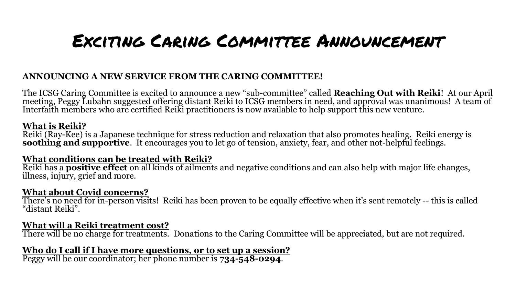### Exciting Caring Committee Announcement

#### **ANNOUNCING A NEW SERVICE FROM THE CARING COMMITTEE!**

The ICSG Caring Committee is excited to announce a new "sub-committee" called **Reaching Out with Reiki**! At our April meeting, Peggy Lubahn suggested offering distant Reiki to ICSG members in need, and approval was unanimous! A team of Interfaith members who are certified Reiki practitioners is now available to help support this new venture.

#### **What is Reiki?**

Reiki (Ray-Kee) is a Japanese technique for stress reduction and relaxation that also promotes healing. Reiki energy is **soothing and supportive**. It encourages you to let go of tension, anxiety, fear, and other not-helpful feelings.

#### **What conditions can be treated with Reiki?**

Reiki has a **positive effect** on all kinds of ailments and negative conditions and can also help with major life changes, illness, injury, grief and more.

#### **What about Covid concerns?**

There's no need for in-person visits! Reiki has been proven to be equally effective when it's sent remotely -- this is called "distant Reiki".

#### **What will a Reiki treatment cost?**

There will be no charge for treatments. Donations to the Caring Committee will be appreciated, but are not required.

#### **Who do I call if I have more questions, or to set up a session?**

Peggy will be our coordinator; her phone number is **734-548-0294**.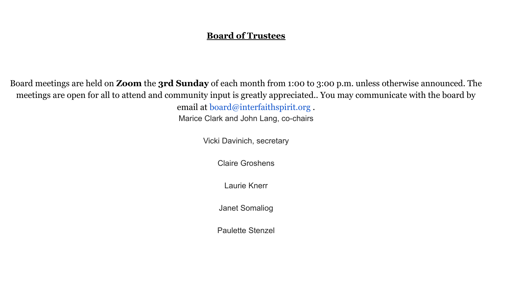#### **Board of Trustees**

Board meetings are held on **Zoom** the **3rd Sunday** of each month from 1:00 to 3:00 p.m. unless otherwise announced. The meetings are open for all to attend and community input is greatly appreciated.. You may communicate with the board by email at board@interfaithspirit.org .

Marice Clark and John Lang, co-chairs

Vicki Davinich, secretary

Claire Groshens

Laurie Knerr

Janet Somaliog

Paulette Stenzel